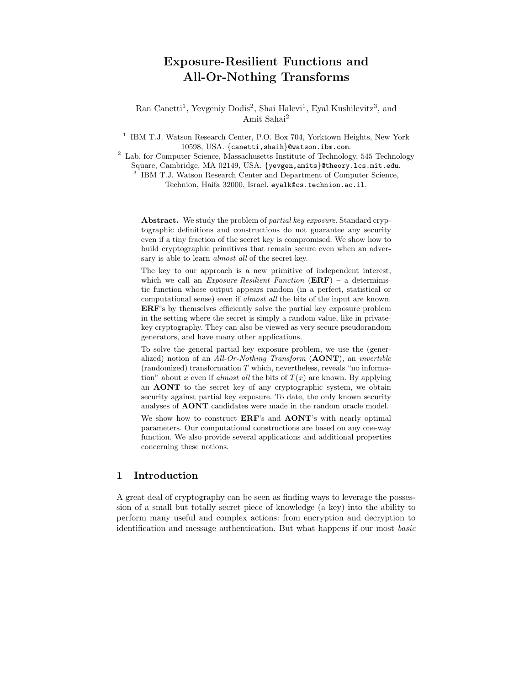# Exposure-Resilient Functions and All-Or-Nothing Transforms

Ran Canetti<sup>1</sup>, Yevgeniy Dodis<sup>2</sup>, Shai Halevi<sup>1</sup>, Eyal Kushilevitz<sup>3</sup>, and Amit Sahai<sup>2</sup>

<sup>1</sup> IBM T.J. Watson Research Center, P.O. Box 704, Yorktown Heights, New York 10598, USA. {canetti,shaih}@watson.ibm.com.

<sup>2</sup> Lab. for Computer Science, Massachusetts Institute of Technology, 545 Technology Square, Cambridge, MA 02149, USA. {yevgen,amits}@theory.lcs.mit.edu.

<sup>3</sup> IBM T.J. Watson Research Center and Department of Computer Science, Technion, Haifa 32000, Israel. eyalk@cs.technion.ac.il.

Abstract. We study the problem of *partial key exposure*. Standard cryptographic definitions and constructions do not guarantee any security even if a tiny fraction of the secret key is compromised. We show how to build cryptographic primitives that remain secure even when an adversary is able to learn *almost all* of the secret key.

The key to our approach is a new primitive of independent interest, which we call an  $Exposure-Resilient Function$  (ERF) – a deterministic function whose output appears random (in a perfect, statistical or computational sense) even if almost all the bits of the input are known. ERF's by themselves efficiently solve the partial key exposure problem in the setting where the secret is simply a random value, like in privatekey cryptography. They can also be viewed as very secure pseudorandom generators, and have many other applications.

To solve the general partial key exposure problem, we use the (generalized) notion of an All-Or-Nothing Transform (AONT), an invertible  $(randomized)$  transformation T which, nevertheless, reveals "no information" about x even if almost all the bits of  $T(x)$  are known. By applying an AONT to the secret key of any cryptographic system, we obtain security against partial key exposure. To date, the only known security analyses of AONT candidates were made in the random oracle model.

We show how to construct **ERF**'s and **AONT**'s with nearly optimal parameters. Our computational constructions are based on any one-way function. We also provide several applications and additional properties concerning these notions.

# 1 Introduction

A great deal of cryptography can be seen as finding ways to leverage the possession of a small but totally secret piece of knowledge (a key) into the ability to perform many useful and complex actions: from encryption and decryption to identification and message authentication. But what happens if our most basic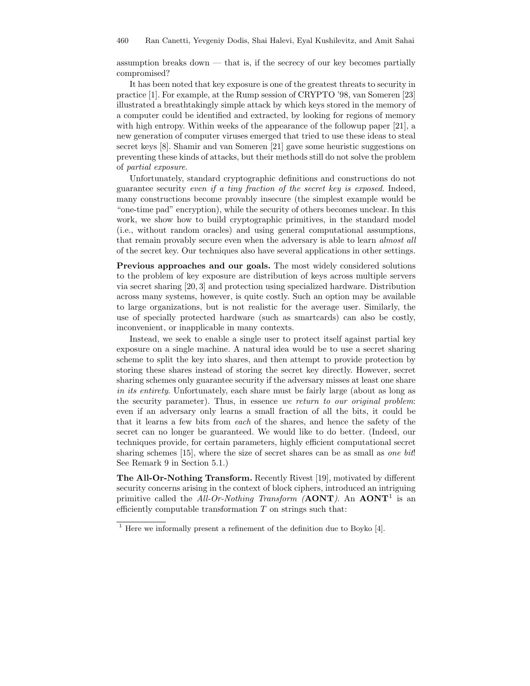assumption breaks down — that is, if the secrecy of our key becomes partially compromised?

It has been noted that key exposure is one of the greatest threats to security in practice [1]. For example, at the Rump session of CRYPTO '98, van Someren [23] illustrated a breathtakingly simple attack by which keys stored in the memory of a computer could be identified and extracted, by looking for regions of memory with high entropy. Within weeks of the appearance of the followup paper [21], a new generation of computer viruses emerged that tried to use these ideas to steal secret keys [8]. Shamir and van Someren [21] gave some heuristic suggestions on preventing these kinds of attacks, but their methods still do not solve the problem of partial exposure.

Unfortunately, standard cryptographic definitions and constructions do not guarantee security even if a tiny fraction of the secret key is exposed. Indeed, many constructions become provably insecure (the simplest example would be "one-time pad" encryption), while the security of others becomes unclear. In this work, we show how to build cryptographic primitives, in the standard model (i.e., without random oracles) and using general computational assumptions, that remain provably secure even when the adversary is able to learn almost all of the secret key. Our techniques also have several applications in other settings.

Previous approaches and our goals. The most widely considered solutions to the problem of key exposure are distribution of keys across multiple servers via secret sharing [20, 3] and protection using specialized hardware. Distribution across many systems, however, is quite costly. Such an option may be available to large organizations, but is not realistic for the average user. Similarly, the use of specially protected hardware (such as smartcards) can also be costly, inconvenient, or inapplicable in many contexts.

Instead, we seek to enable a single user to protect itself against partial key exposure on a single machine. A natural idea would be to use a secret sharing scheme to split the key into shares, and then attempt to provide protection by storing these shares instead of storing the secret key directly. However, secret sharing schemes only guarantee security if the adversary misses at least one share in its entirety. Unfortunately, each share must be fairly large (about as long as the security parameter). Thus, in essence we return to our original problem: even if an adversary only learns a small fraction of all the bits, it could be that it learns a few bits from each of the shares, and hence the safety of the secret can no longer be guaranteed. We would like to do better. (Indeed, our techniques provide, for certain parameters, highly efficient computational secret sharing schemes [15], where the size of secret shares can be as small as one bit! See Remark 9 in Section 5.1.)

The All-Or-Nothing Transform. Recently Rivest [19], motivated by different security concerns arising in the context of block ciphers, introduced an intriguing primitive called the All-Or-Nothing Transform ( $\text{AONT}$ ). An  $\text{AONT}^1$  is an efficiently computable transformation  $T$  on strings such that:

 $1$  Here we informally present a refinement of the definition due to Boyko [4].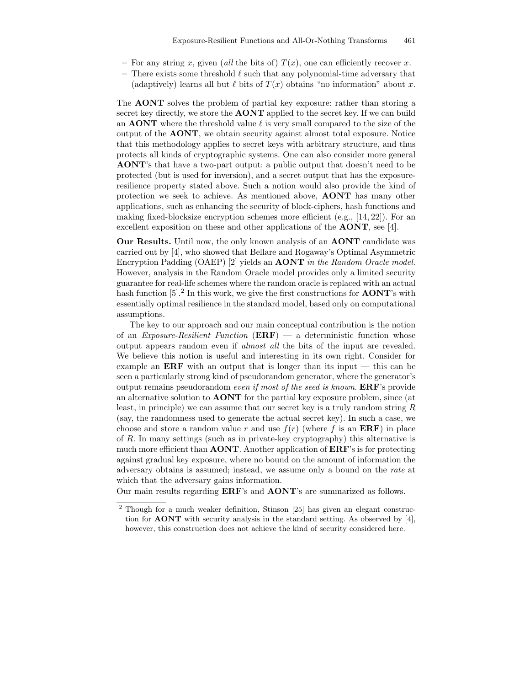- For any string x, given (all the bits of)  $T(x)$ , one can efficiently recover x.
- There exists some threshold  $\ell$  such that any polynomial-time adversary that (adaptively) learns all but  $\ell$  bits of  $T(x)$  obtains "no information" about x.

The AONT solves the problem of partial key exposure: rather than storing a secret key directly, we store the **AONT** applied to the secret key. If we can build an AONT where the threshold value  $\ell$  is very small compared to the size of the output of the AONT, we obtain security against almost total exposure. Notice that this methodology applies to secret keys with arbitrary structure, and thus protects all kinds of cryptographic systems. One can also consider more general AONT's that have a two-part output: a public output that doesn't need to be protected (but is used for inversion), and a secret output that has the exposureresilience property stated above. Such a notion would also provide the kind of protection we seek to achieve. As mentioned above, AONT has many other applications, such as enhancing the security of block-ciphers, hash functions and making fixed-blocksize encryption schemes more efficient (e.g.,  $[14, 22]$ ). For an excellent exposition on these and other applications of the  $\angle AONT$ , see [4].

Our Results. Until now, the only known analysis of an AONT candidate was carried out by [4], who showed that Bellare and Rogaway's Optimal Asymmetric Encryption Padding (OAEP) [2] yields an AONT in the Random Oracle model. However, analysis in the Random Oracle model provides only a limited security guarantee for real-life schemes where the random oracle is replaced with an actual hash function [5].<sup>2</sup> In this work, we give the first constructions for  $\text{AONT's with}$ essentially optimal resilience in the standard model, based only on computational assumptions.

The key to our approach and our main conceptual contribution is the notion of an *Exposure-Resilient Function* (**ERF**) — a deterministic function whose output appears random even if almost all the bits of the input are revealed. We believe this notion is useful and interesting in its own right. Consider for example an **ERF** with an output that is longer than its input  $-$  this can be seen a particularly strong kind of pseudorandom generator, where the generator's output remains pseudorandom even if most of the seed is known. ERF's provide an alternative solution to AONT for the partial key exposure problem, since (at least, in principle) we can assume that our secret key is a truly random string  $R$ (say, the randomness used to generate the actual secret key). In such a case, we choose and store a random value r and use  $f(r)$  (where f is an **ERF**) in place of R. In many settings (such as in private-key cryptography) this alternative is much more efficient than **AONT**. Another application of **ERF**'s is for protecting against gradual key exposure, where no bound on the amount of information the adversary obtains is assumed; instead, we assume only a bound on the rate at which that the adversary gains information.

Our main results regarding ERF's and AONT's are summarized as follows.

<sup>2</sup> Though for a much weaker definition, Stinson [25] has given an elegant construction for **AONT** with security analysis in the standard setting. As observed by [4], however, this construction does not achieve the kind of security considered here.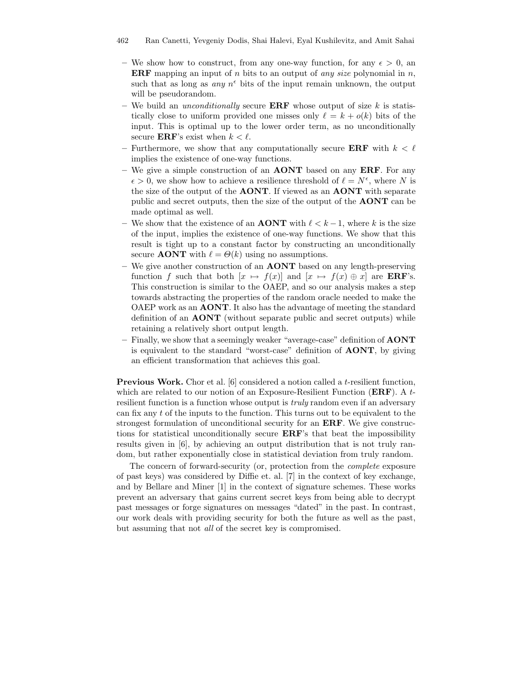- We show how to construct, from any one-way function, for any  $\epsilon > 0$ , an **ERF** mapping an input of n bits to an output of *any size* polynomial in n, such that as long as *any*  $n^{\epsilon}$  bits of the input remain unknown, the output will be pseudorandom.
- We build an *unconditionally* secure **ERF** whose output of size k is statistically close to uniform provided one misses only  $\ell = k + o(k)$  bits of the input. This is optimal up to the lower order term, as no unconditionally secure **ERF**'s exist when  $k < \ell$ .
- Furthermore, we show that any computationally secure ERF with  $k < \ell$ implies the existence of one-way functions.
- We give a simple construction of an **AONT** based on any **ERF**. For any  $\epsilon > 0$ , we show how to achieve a resilience threshold of  $\ell = N^{\epsilon}$ , where N is the size of the output of the AONT. If viewed as an AONT with separate public and secret outputs, then the size of the output of the AONT can be made optimal as well.
- We show that the existence of an **AONT** with  $\ell < k 1$ , where k is the size of the input, implies the existence of one-way functions. We show that this result is tight up to a constant factor by constructing an unconditionally secure **AONT** with  $\ell = \Theta(k)$  using no assumptions.
- We give another construction of an  $AONT$  based on any length-preserving function f such that both  $[x \mapsto f(x)]$  and  $[x \mapsto f(x) \oplus x]$  are **ERF**'s. This construction is similar to the OAEP, and so our analysis makes a step towards abstracting the properties of the random oracle needed to make the OAEP work as an AONT. It also has the advantage of meeting the standard definition of an AONT (without separate public and secret outputs) while retaining a relatively short output length.
- $-$  Finally, we show that a seemingly weaker "average-case" definition of  $AONT$ is equivalent to the standard "worst-case" definition of AONT, by giving an efficient transformation that achieves this goal.

**Previous Work.** Chor et al. [6] considered a notion called a  $t$ -resilient function, which are related to our notion of an Exposure-Resilient Function  $(ERF)$ . A tresilient function is a function whose output is *truly* random even if an adversary can fix any  $t$  of the inputs to the function. This turns out to be equivalent to the strongest formulation of unconditional security for an ERF. We give constructions for statistical unconditionally secure ERF's that beat the impossibility results given in [6], by achieving an output distribution that is not truly random, but rather exponentially close in statistical deviation from truly random.

The concern of forward-security (or, protection from the complete exposure of past keys) was considered by Diffie et. al. [7] in the context of key exchange, and by Bellare and Miner [1] in the context of signature schemes. These works prevent an adversary that gains current secret keys from being able to decrypt past messages or forge signatures on messages "dated" in the past. In contrast, our work deals with providing security for both the future as well as the past, but assuming that not all of the secret key is compromised.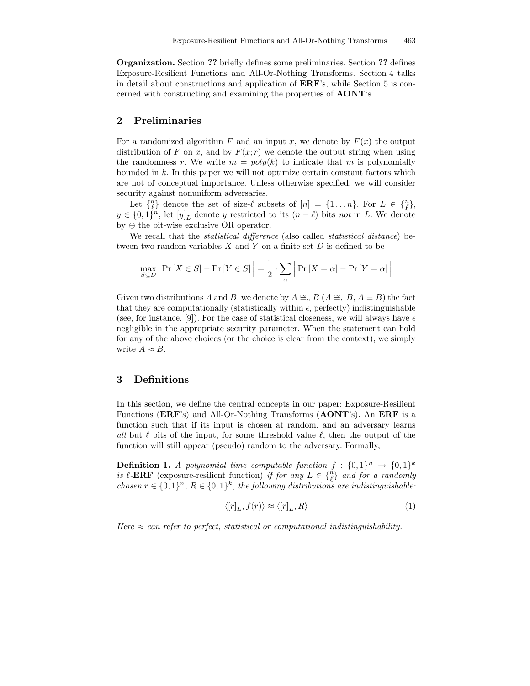Organization. Section ?? briefly defines some preliminaries. Section ?? defines Exposure-Resilient Functions and All-Or-Nothing Transforms. Section 4 talks in detail about constructions and application of ERF's, while Section 5 is concerned with constructing and examining the properties of AONT's.

## 2 Preliminaries

For a randomized algorithm F and an input x, we denote by  $F(x)$  the output distribution of F on x, and by  $F(x; r)$  we denote the output string when using the randomness r. We write  $m = poly(k)$  to indicate that m is polynomially bounded in k. In this paper we will not optimize certain constant factors which are not of conceptual importance. Unless otherwise specified, we will consider security against nonuniform adversaries.

Let  $\{n\}$  denote the set of size- $\ell$  subsets of  $[n] = \{1 \dots n\}$ . For  $L \in \{n\}$ ,  $y \in \{0,1\}^n$ , let  $[y]_L$  denote y restricted to its  $(n - \ell)$  bits not in L. We denote by ⊕ the bit-wise exclusive OR operator.

We recall that the *statistical difference* (also called *statistical distance*) between two random variables  $X$  and  $Y$  on a finite set  $D$  is defined to be

$$
\max_{S \subseteq D} \left| \Pr\left[X \in S\right] - \Pr\left[Y \in S\right] \right| = \frac{1}{2} \cdot \sum_{\alpha} \left| \Pr\left[X = \alpha\right] - \Pr\left[Y = \alpha\right] \right|
$$

Given two distributions A and B, we denote by  $A \cong_c B (A \cong_{\epsilon} B, A \equiv B)$  the fact that they are computationally (statistically within  $\epsilon$ , perfectly) indistinguishable (see, for instance, [9]). For the case of statistical closeness, we will always have  $\epsilon$ negligible in the appropriate security parameter. When the statement can hold for any of the above choices (or the choice is clear from the context), we simply write  $A \approx B$ .

## 3 Definitions

In this section, we define the central concepts in our paper: Exposure-Resilient Functions (ERF's) and All-Or-Nothing Transforms (AONT's). An ERF is a function such that if its input is chosen at random, and an adversary learns all but  $\ell$  bits of the input, for some threshold value  $\ell$ , then the output of the function will still appear (pseudo) random to the adversary. Formally,

**Definition 1.** A polynomial time computable function  $f: \{0,1\}^n \rightarrow \{0,1\}^k$ is  $\ell$ -**ERF** (exposure-resilient function) if for any  $L \in \{n\}$  and for a randomly chosen  $r \in \{0,1\}^n$ ,  $R \in \{0,1\}^k$ , the following distributions are indistinguishable:

$$
\langle [r]_{\bar{L}}, f(r) \rangle \approx \langle [r]_{\bar{L}}, R \rangle \tag{1}
$$

Here  $\approx$  can refer to perfect, statistical or computational indistinguishability.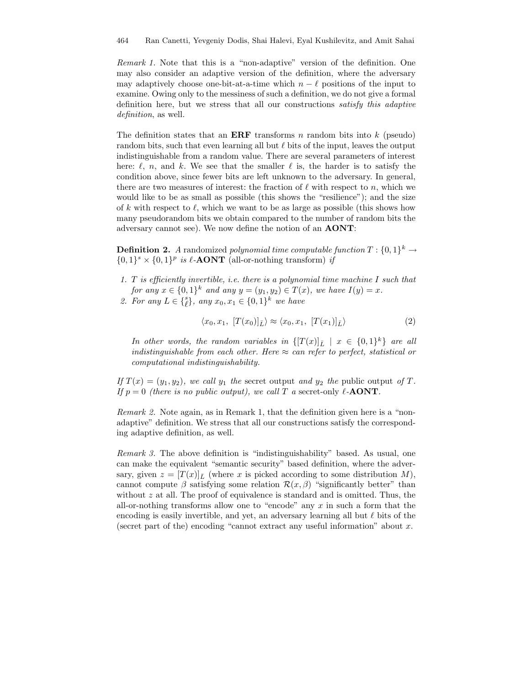Remark 1. Note that this is a "non-adaptive" version of the definition. One may also consider an adaptive version of the definition, where the adversary may adaptively choose one-bit-at-a-time which  $n - \ell$  positions of the input to examine. Owing only to the messiness of such a definition, we do not give a formal definition here, but we stress that all our constructions satisfy this adaptive definition, as well.

The definition states that an **ERF** transforms n random bits into  $k$  (pseudo) random bits, such that even learning all but  $\ell$  bits of the input, leaves the output indistinguishable from a random value. There are several parameters of interest here:  $\ell$ , n, and k. We see that the smaller  $\ell$  is, the harder is to satisfy the condition above, since fewer bits are left unknown to the adversary. In general, there are two measures of interest: the fraction of  $\ell$  with respect to n, which we would like to be as small as possible (this shows the "resilience"); and the size of k with respect to  $\ell$ , which we want to be as large as possible (this shows how many pseudorandom bits we obtain compared to the number of random bits the adversary cannot see). We now define the notion of an AONT:

**Definition 2.** A randomized polynomial time computable function  $T: \{0,1\}^k \to$  $\{0,1\}^s \times \{0,1\}^p$  is  $\ell$ -**AONT** (all-or-nothing transform) if

- 1. T is efficiently invertible, i.e. there is a polynomial time machine  $I$  such that for any  $x \in \{0,1\}^k$  and any  $y = (y_1, y_2) \in T(x)$ , we have  $I(y) = x$ .
- 2. For any  $L \in \{ \ell \}$ , any  $x_0, x_1 \in \{ 0, 1 \}^k$  we have

$$
\langle x_0, x_1, [T(x_0)]_{\bar{L}} \rangle \approx \langle x_0, x_1, [T(x_1)]_{\bar{L}} \rangle \tag{2}
$$

In other words, the random variables in  $\{[T(x)]_L \mid x \in \{0,1\}^k\}$  are all indistinguishable from each other. Here  $\approx$  can refer to perfect, statistical or computational indistinguishability.

If  $T(x) = (y_1, y_2)$ , we call  $y_1$  the secret output and  $y_2$  the public output of T. If  $p = 0$  (there is no public output), we call T a secret-only  $\ell$ -AONT.

Remark 2. Note again, as in Remark 1, that the definition given here is a "nonadaptive" definition. We stress that all our constructions satisfy the corresponding adaptive definition, as well.

Remark 3. The above definition is "indistinguishability" based. As usual, one can make the equivalent "semantic security" based definition, where the adversary, given  $z = [T(x)]_{\bar{L}}$  (where x is picked according to some distribution M), cannot compute  $\beta$  satisfying some relation  $\mathcal{R}(x,\beta)$  "significantly better" than without z at all. The proof of equivalence is standard and is omitted. Thus, the all-or-nothing transforms allow one to "encode" any  $x$  in such a form that the encoding is easily invertible, and yet, an adversary learning all but  $\ell$  bits of the (secret part of the) encoding "cannot extract any useful information" about x.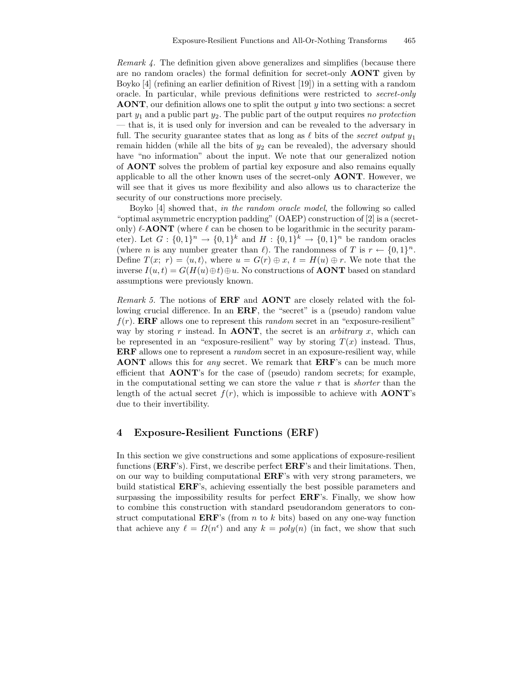Remark 4. The definition given above generalizes and simplifies (because there are no random oracles) the formal definition for secret-only AONT given by Boyko [4] (refining an earlier definition of Rivest [19]) in a setting with a random oracle. In particular, while previous definitions were restricted to secret-only **AONT**, our definition allows one to split the output  $y$  into two sections: a secret part  $y_1$  and a public part  $y_2$ . The public part of the output requires no protection — that is, it is used only for inversion and can be revealed to the adversary in full. The security guarantee states that as long as  $\ell$  bits of the secret output  $y_1$ remain hidden (while all the bits of  $y_2$  can be revealed), the adversary should have "no information" about the input. We note that our generalized notion of AONT solves the problem of partial key exposure and also remains equally applicable to all the other known uses of the secret-only AONT. However, we will see that it gives us more flexibility and also allows us to characterize the security of our constructions more precisely.

Boyko [4] showed that, in the random oracle model, the following so called "optimal asymmetric encryption padding" (OAEP) construction of [2] is a (secretonly)  $\ell$ -**AONT** (where  $\ell$  can be chosen to be logarithmic in the security parameter). Let  $G: \{0,1\}^n \to \{0,1\}^k$  and  $H: \{0,1\}^k \to \{0,1\}^n$  be random oracles (where *n* is any number greater than  $\ell$ ). The randomness of T is  $r \leftarrow \{0, 1\}^n$ . Define  $T(x; r) = \langle u, t \rangle$ , where  $u = G(r) \oplus x$ ,  $t = H(u) \oplus r$ . We note that the inverse  $I(u,t) = G(H(u) \oplus t) \oplus u$ . No constructions of **AONT** based on standard assumptions were previously known.

Remark 5. The notions of **ERF** and **AONT** are closely related with the following crucial difference. In an **ERF**, the "secret" is a (pseudo) random value  $f(r)$ . **ERF** allows one to represent this *random* secret in an "exposure-resilient" way by storing r instead. In **AONT**, the secret is an *arbitrary x*, which can be represented in an "exposure-resilient" way by storing  $T(x)$  instead. Thus, ERF allows one to represent a *random* secret in an exposure-resilient way, while AONT allows this for *any* secret. We remark that **ERF**'s can be much more efficient that AONT's for the case of (pseudo) random secrets; for example, in the computational setting we can store the value  $r$  that is *shorter* than the length of the actual secret  $f(r)$ , which is impossible to achieve with **AONT**'s due to their invertibility.

## 4 Exposure-Resilient Functions (ERF)

In this section we give constructions and some applications of exposure-resilient functions (ERF's). First, we describe perfect ERF's and their limitations. Then, on our way to building computational ERF's with very strong parameters, we build statistical ERF's, achieving essentially the best possible parameters and surpassing the impossibility results for perfect **ERF**'s. Finally, we show how to combine this construction with standard pseudorandom generators to construct computational **ERF**'s (from  $n$  to  $k$  bits) based on any one-way function that achieve any  $\ell = \Omega(n^{\epsilon})$  and any  $k = poly(n)$  (in fact, we show that such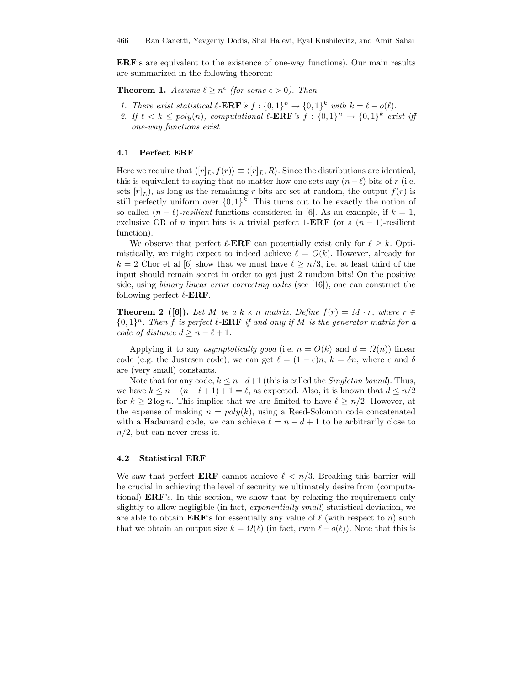ERF's are equivalent to the existence of one-way functions). Our main results are summarized in the following theorem:

**Theorem 1.** Assume  $\ell \geq n^{\epsilon}$  (for some  $\epsilon > 0$ ). Then

- 1. There exist statistical  $\ell$ -**ERF**'s  $f : \{0,1\}^n \to \{0,1\}^k$  with  $k = \ell o(\ell)$ .
- 2. If  $\ell < k \leq poly(n)$ , computational  $\ell$ -**ERF**'s  $f : \{0,1\}^n \to \{0,1\}^k$  exist iff one-way functions exist.

#### 4.1 Perfect ERF

Here we require that  $\langle [r]_{\bar{L}}, f(r) \rangle \equiv \langle [r]_{\bar{L}}, R \rangle$ . Since the distributions are identical, this is equivalent to saying that no matter how one sets any  $(n-\ell)$  bits of r (i.e. sets  $[r]_{\bar{L}}$ , as long as the remaining r bits are set at random, the output  $f(r)$  is still perfectly uniform over  $\{0,1\}^k$ . This turns out to be exactly the notion of so called  $(n - \ell)$ -resilient functions considered in [6]. As an example, if  $k = 1$ , exclusive OR of n input bits is a trivial perfect 1-**ERF** (or a  $(n-1)$ -resilient function).

We observe that perfect  $\ell$ -**ERF** can potentially exist only for  $\ell \geq k$ . Optimistically, we might expect to indeed achieve  $\ell = O(k)$ . However, already for  $k = 2$  Chor et al [6] show that we must have  $\ell > n/3$ , i.e. at least third of the input should remain secret in order to get just 2 random bits! On the positive side, using binary linear error correcting codes (see [16]), one can construct the following perfect  $\ell$ -**ERF**.

**Theorem 2** ([6]). Let M be a  $k \times n$  matrix. Define  $f(r) = M \cdot r$ , where  $r \in$  ${0,1}<sup>n</sup>$ . Then f is perfect  $\ell$ -**ERF** if and only if M is the generator matrix for a code of distance  $d \geq n - \ell + 1$ .

Applying it to any asymptotically good (i.e.  $n = O(k)$  and  $d = \Omega(n)$ ) linear code (e.g. the Justesen code), we can get  $\ell = (1 - \epsilon)n$ ,  $k = \delta n$ , where  $\epsilon$  and  $\delta$ are (very small) constants.

Note that for any code,  $k \leq n-d+1$  (this is called the *Singleton bound*). Thus, we have  $k \leq n - (n - \ell + 1) + 1 = \ell$ , as expected. Also, it is known that  $d \leq n/2$ for  $k > 2 \log n$ . This implies that we are limited to have  $\ell > n/2$ . However, at the expense of making  $n = poly(k)$ , using a Reed-Solomon code concatenated with a Hadamard code, we can achieve  $\ell = n - d + 1$  to be arbitrarily close to  $n/2$ , but can never cross it.

#### 4.2 Statistical ERF

We saw that perfect ERF cannot achieve  $\ell < n/3$ . Breaking this barrier will be crucial in achieving the level of security we ultimately desire from (computational) ERF's. In this section, we show that by relaxing the requirement only slightly to allow negligible (in fact, exponentially small) statistical deviation, we are able to obtain **ERF**'s for essentially any value of  $\ell$  (with respect to n) such that we obtain an output size  $k = \Omega(\ell)$  (in fact, even  $\ell - o(\ell)$ ). Note that this is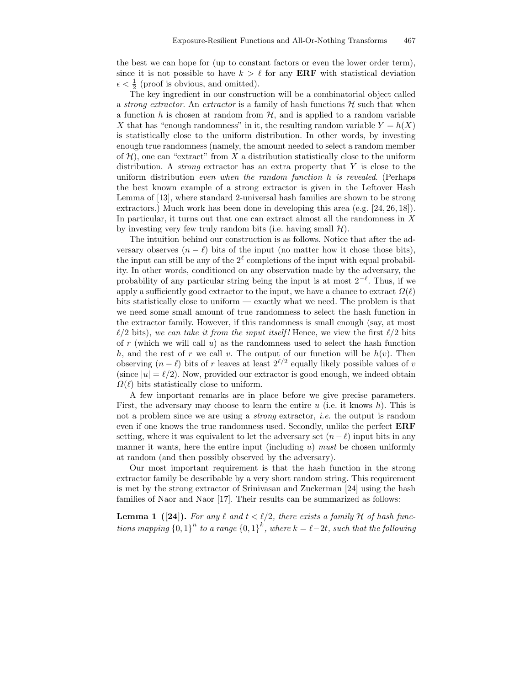the best we can hope for (up to constant factors or even the lower order term), since it is not possible to have  $k > \ell$  for any **ERF** with statistical deviation  $\epsilon < \frac{1}{2}$  (proof is obvious, and omitted).

The key ingredient in our construction will be a combinatorial object called a strong extractor. An extractor is a family of hash functions  $H$  such that when a function h is chosen at random from  $H$ , and is applied to a random variable X that has "enough randomness" in it, the resulting random variable  $Y = h(X)$ is statistically close to the uniform distribution. In other words, by investing enough true randomness (namely, the amount needed to select a random member of  $H$ ), one can "extract" from X a distribution statistically close to the uniform distribution. A *strong* extractor has an extra property that  $Y$  is close to the uniform distribution even when the random function h is revealed. (Perhaps the best known example of a strong extractor is given in the Leftover Hash Lemma of [13], where standard 2-universal hash families are shown to be strong extractors.) Much work has been done in developing this area (e.g. [24, 26, 18]). In particular, it turns out that one can extract almost all the randomness in X by investing very few truly random bits (i.e. having small  $H$ ).

The intuition behind our construction is as follows. Notice that after the adversary observes  $(n - \ell)$  bits of the input (no matter how it chose those bits), the input can still be any of the  $2^{\ell}$  completions of the input with equal probability. In other words, conditioned on any observation made by the adversary, the probability of any particular string being the input is at most  $2^{-\ell}$ . Thus, if we apply a sufficiently good extractor to the input, we have a chance to extract  $\Omega(\ell)$ bits statistically close to uniform — exactly what we need. The problem is that we need some small amount of true randomness to select the hash function in the extractor family. However, if this randomness is small enough (say, at most  $\ell/2$  bits), we can take it from the input itself! Hence, we view the first  $\ell/2$  bits of r (which we will call  $u$ ) as the randomness used to select the hash function h, and the rest of r we call v. The output of our function will be  $h(v)$ . Then observing  $(n - \ell)$  bits of r leaves at least  $2^{\ell/2}$  equally likely possible values of v (since  $|u| = \ell/2$ ). Now, provided our extractor is good enough, we indeed obtain  $\Omega(\ell)$  bits statistically close to uniform.

A few important remarks are in place before we give precise parameters. First, the adversary may choose to learn the entire  $u$  (i.e. it knows  $h$ ). This is not a problem since we are using a *strong* extractor, *i.e.* the output is random even if one knows the true randomness used. Secondly, unlike the perfect **ERF** setting, where it was equivalent to let the adversary set  $(n - \ell)$  input bits in any manner it wants, here the entire input (including  $u$ ) must be chosen uniformly at random (and then possibly observed by the adversary).

Our most important requirement is that the hash function in the strong extractor family be describable by a very short random string. This requirement is met by the strong extractor of Srinivasan and Zuckerman [24] using the hash families of Naor and Naor [17]. Their results can be summarized as follows:

**Lemma 1** ([24]). For any  $\ell$  and  $t < \ell/2$ , there exists a family H of hash functions mapping  ${0,1}^n$  to a range  ${0,1}^k$ , where  $k = \ell-2t$ , such that the following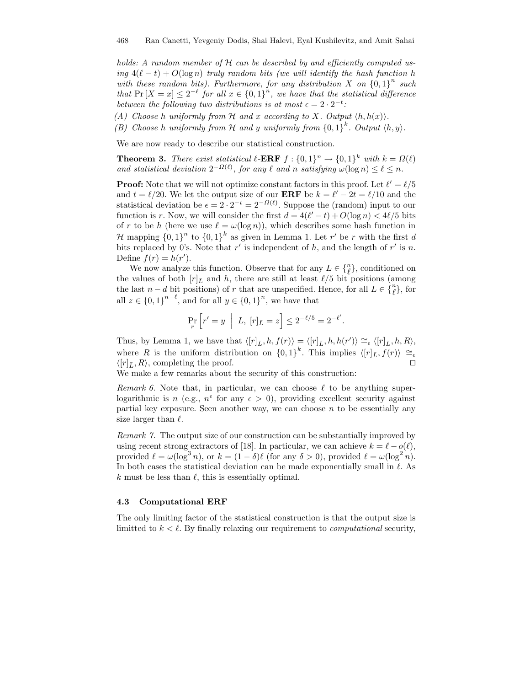holds: A random member of  $H$  can be described by and efficiently computed using  $4(\ell - t) + O(\log n)$  truly random bits (we will identify the hash function h with these random bits). Furthermore, for any distribution X on  ${0,1}^n$  such that  $Pr[X = x] \leq 2^{-\ell}$  for all  $x \in \{0,1\}^n$ , we have that the statistical difference between the following two distributions is at most  $\epsilon = 2 \cdot 2^{-t}$ .

(A) Choose h uniformly from  $H$  and x according to X. Output  $\langle h, h(x) \rangle$ .

(B) Choose h uniformly from H and y uniformly from  ${0,1}^k$ . Output  $\langle h, y \rangle$ .

We are now ready to describe our statistical construction.

**Theorem 3.** There exist statistical  $\ell$ -**ERF**  $f : \{0,1\}^n \to \{0,1\}^k$  with  $k = \Omega(\ell)$ and statistical deviation  $2^{-\Omega(\ell)}$ , for any  $\ell$  and n satisfying  $\omega(\log n) \leq \ell \leq n$ .

**Proof:** Note that we will not optimize constant factors in this proof. Let  $\ell' = \ell/5$ and  $t = \ell/20$ . We let the output size of our **ERF** be  $k = \ell' - 2t = \ell/10$  and the statistical deviation be  $\epsilon = 2 \cdot 2^{-t} = 2^{-\Omega(\ell)}$ . Suppose the (random) input to our function is r. Now, we will consider the first  $d = 4(\ell' - t) + O(\log n) < 4\ell/5$  bits of r to be h (here we use  $\ell = \omega(\log n)$ ), which describes some hash function in H mapping  ${0,1}^n$  to  ${0,1}^k$  as given in Lemma 1. Let r' be r with the first d bits replaced by 0's. Note that  $r'$  is independent of h, and the length of  $r'$  is n. Define  $f(r) = h(r')$ .

We now analyze this function. Observe that for any  $L \in \{n\}$ , conditioned on the values of both  $[r]_{\bar{L}}$  and h, there are still at least  $\ell/5$  bit positions (among the last  $n-d$  bit positions) of r that are unspecified. Hence, for all  $L \in \{n\}$ , for all  $z \in \{0,1\}^{n-\ell}$ , and for all  $y \in \{0,1\}^n$ , we have that

$$
\Pr_r \left[ r' = y \: \middle| \: L, \: [r]_{\bar{L}} = z \right] \leq 2^{-\ell/5} = 2^{-\ell'}.
$$

Thus, by Lemma 1, we have that  $\langle [r]_{\bar{L}}, h, f(r) \rangle = \langle [r]_{\bar{L}}, h, h(r') \rangle \cong_{\epsilon} \langle [r]_{\bar{L}}, h, R \rangle$ , where R is the uniform distribution on  $\{0,1\}^k$ . This implies  $\langle [r]_{\bar{L}}, f(r) \rangle \cong_{\epsilon}$  $\langle [r]_{\bar{L}}, R \rangle$ , completing the proof.

We make a few remarks about the security of this construction:

Remark 6. Note that, in particular, we can choose  $\ell$  to be anything superlogarithmic is n (e.g.,  $n^{\epsilon}$  for any  $\epsilon > 0$ ), providing excellent security against partial key exposure. Seen another way, we can choose  $n$  to be essentially any size larger than  $\ell$ .

Remark 7. The output size of our construction can be substantially improved by using recent strong extractors of [18]. In particular, we can achieve  $k = \ell - o(\ell)$ , provided  $\ell = \omega(\log^3 n)$ , or  $k = (1 - \delta)\ell$  (for any  $\delta > 0$ ), provided  $\ell = \omega(\log^2 n)$ . In both cases the statistical deviation can be made exponentially small in  $\ell$ . As k must be less than  $\ell$ , this is essentially optimal.

#### 4.3 Computational ERF

The only limiting factor of the statistical construction is that the output size is limitted to  $k < l$ . By finally relaxing our requirement to *computational* security,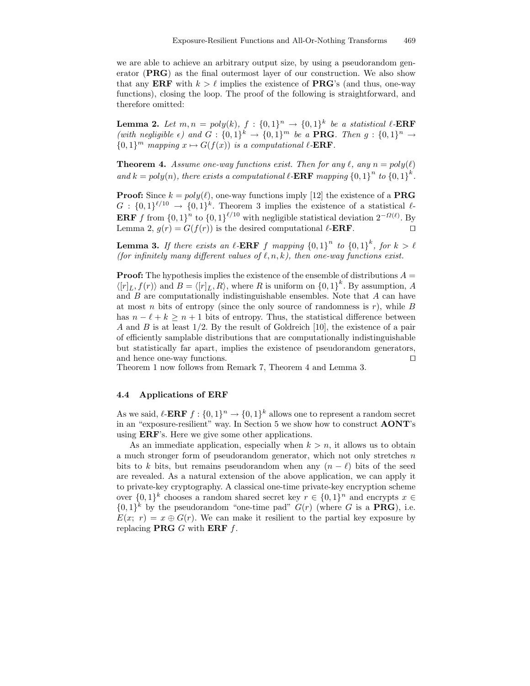we are able to achieve an arbitrary output size, by using a pseudorandom generator (PRG) as the final outermost layer of our construction. We also show that any **ERF** with  $k > \ell$  implies the existence of **PRG**'s (and thus, one-way functions), closing the loop. The proof of the following is straightforward, and therefore omitted:

**Lemma 2.** Let  $m, n = poly(k), f : \{0,1\}^n \rightarrow \{0,1\}^k$  be a statistical  $\ell$ -**ERF** (with negligible  $\epsilon$ ) and  $G: \{0,1\}^k \to \{0,1\}^m$  be a **PRG**. Then  $g: \{0,1\}^n \to$  ${0,1}^m$  mapping  $x \mapsto G(f(x))$  is a computational  $\ell$ -**ERF**.

**Theorem 4.** Assume one-way functions exist. Then for any  $\ell$ , any  $n = poly(\ell)$ and  $k = poly(n)$ , there exists a computational  $\ell$ -**ERF** mapping  $\{0, 1\}^n$  to  $\{0, 1\}^k$ .

**Proof:** Since  $k = poly(\ell)$ , one-way functions imply [12] the existence of a **PRG**  $G: \{0,1\}^{\ell/10} \to \{0,1\}^k$ . Theorem 3 implies the existence of a statistical  $\ell$ -**ERF** f from  $\{0,1\}^n$  to  $\{0,1\}^{\ell/10}$  with negligible statistical deviation  $2^{-\Omega(\ell)}$ . By Lemma 2,  $g(r) = G(f(r))$  is the desired computational  $\ell$ -**ERF**.

**Lemma 3.** If there exists an  $\ell$ -**ERF** f mapping  $\{0, 1\}^n$  to  $\{0, 1\}^k$ , for  $k > \ell$ (for infinitely many different values of  $\ell, n, k$ ), then one-way functions exist.

**Proof:** The hypothesis implies the existence of the ensemble of distributions  $A =$  $\langle [r]_{\bar{L}}, f(r) \rangle$  and  $B = \langle [r]_{\bar{L}}, R \rangle$ , where R is uniform on  ${0, 1}^k$ . By assumption, A and  $B$  are computationally indistinguishable ensembles. Note that  $A$  can have at most n bits of entropy (since the only source of randomness is  $r$ ), while B has  $n - \ell + k \geq n + 1$  bits of entropy. Thus, the statistical difference between A and B is at least  $1/2$ . By the result of Goldreich [10], the existence of a pair of efficiently samplable distributions that are computationally indistinguishable but statistically far apart, implies the existence of pseudorandom generators, and hence one-way functions.  $\Box$ 

Theorem 1 now follows from Remark 7, Theorem 4 and Lemma 3.

#### 4.4 Applications of ERF

As we said,  $\ell$ -**ERF**  $f : \{0,1\}^n \to \{0,1\}^k$  allows one to represent a random secret in an "exposure-resilient" way. In Section 5 we show how to construct AONT's using ERF's. Here we give some other applications.

As an immediate application, especially when  $k > n$ , it allows us to obtain a much stronger form of pseudorandom generator, which not only stretches  $n$ bits to k bits, but remains pseudorandom when any  $(n - \ell)$  bits of the seed are revealed. As a natural extension of the above application, we can apply it to private-key cryptography. A classical one-time private-key encryption scheme over  $\{0,1\}^k$  chooses a random shared secret key  $r \in \{0,1\}^n$  and encrypts  $x \in$  $\{0,1\}^k$  by the pseudorandom "one-time pad"  $G(r)$  (where G is a **PRG**), i.e.  $E(x; r) = x \oplus G(r)$ . We can make it resilient to the partial key exposure by replacing **PRG** G with **ERF**  $f$ .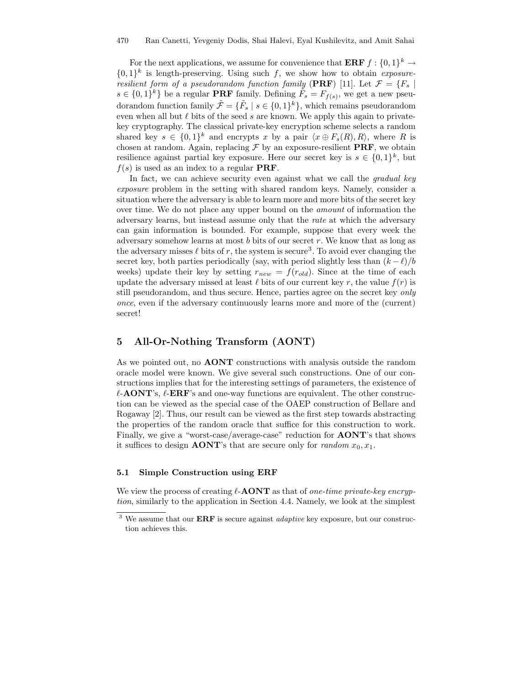For the next applications, we assume for convenience that **ERF**  $f: \{0,1\}^k \to$  $\{0,1\}^k$  is length-preserving. Using such f, we show how to obtain *exposure*resilient form of a pseudorandom function family (PRF) [11]. Let  $\mathcal{F} = \{F_s \mid$  $s \in \{0,1\}^k$  be a regular **PRF** family. Defining  $\tilde{F}_s = F_{f(s)}$ , we get a new pseudorandom function family  $\tilde{\mathcal{F}} = {\{\tilde{F}_s \mid s \in \{0,1\}^k\}},$  which remains pseudorandom even when all but  $\ell$  bits of the seed s are known. We apply this again to privatekey cryptography. The classical private-key encryption scheme selects a random shared key  $s \in \{0,1\}^k$  and encrypts x by a pair  $\langle x \oplus F_s(R), R \rangle$ , where R is chosen at random. Again, replacing  $\mathcal F$  by an exposure-resilient **PRF**, we obtain resilience against partial key exposure. Here our secret key is  $s \in \{0,1\}^k$ , but  $f(s)$  is used as an index to a regular **PRF**.

In fact, we can achieve security even against what we call the *gradual key* exposure problem in the setting with shared random keys. Namely, consider a situation where the adversary is able to learn more and more bits of the secret key over time. We do not place any upper bound on the *amount* of information the adversary learns, but instead assume only that the rate at which the adversary can gain information is bounded. For example, suppose that every week the adversary somehow learns at most  $b$  bits of our secret  $r$ . We know that as long as the adversary misses  $\ell$  bits of r, the system is secure<sup>3</sup>. To avoid ever changing the secret key, both parties periodically (say, with period slightly less than  $(k - \ell)/b$ weeks) update their key by setting  $r_{new} = f(r_{old})$ . Since at the time of each update the adversary missed at least  $\ell$  bits of our current key r, the value  $f(r)$  is still pseudorandom, and thus secure. Hence, parties agree on the secret key only once, even if the adversary continuously learns more and more of the (current) secret!

# 5 All-Or-Nothing Transform (AONT)

As we pointed out, no AONT constructions with analysis outside the random oracle model were known. We give several such constructions. One of our constructions implies that for the interesting settings of parameters, the existence of  $\ell$ -**AONT**'s,  $\ell$ -**ERF**'s and one-way functions are equivalent. The other construction can be viewed as the special case of the OAEP construction of Bellare and Rogaway [2]. Thus, our result can be viewed as the first step towards abstracting the properties of the random oracle that suffice for this construction to work. Finally, we give a "worst-case/average-case" reduction for AONT's that shows it suffices to design **AONT**'s that are secure only for *random*  $x_0, x_1$ .

### 5.1 Simple Construction using ERF

We view the process of creating  $\ell$ -**AONT** as that of *one-time private-key encryp*tion, similarly to the application in Section 4.4. Namely, we look at the simplest

 $3$  We assume that our ERF is secure against *adaptive* key exposure, but our construction achieves this.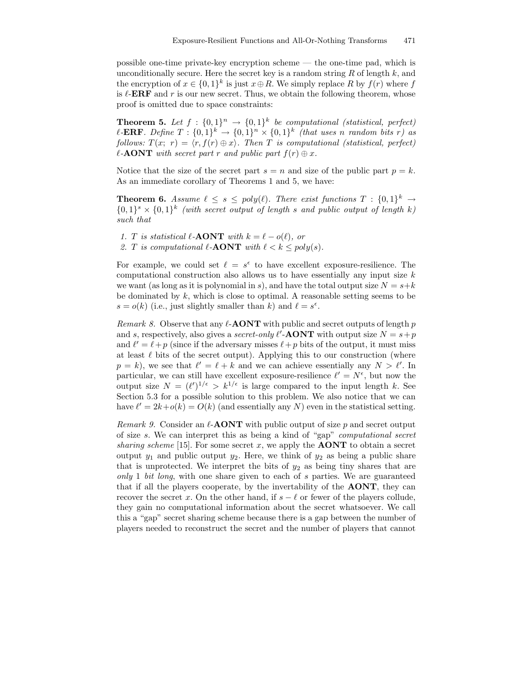possible one-time private-key encryption scheme — the one-time pad, which is unconditionally secure. Here the secret key is a random string  $R$  of length  $k$ , and the encryption of  $x \in \{0,1\}^k$  is just  $x \oplus R$ . We simply replace R by  $f(r)$  where f is  $\ell$ -**ERF** and r is our new secret. Thus, we obtain the following theorem, whose proof is omitted due to space constraints:

**Theorem 5.** Let  $f : \{0,1\}^n \rightarrow \{0,1\}^k$  be computational (statistical, perfect)  $\ell$ -ERF. Define  $T : \{0,1\}^k \to \{0,1\}^n \times \{0,1\}^k$  (that uses n random bits r) as follows:  $T(x; r) = \langle r, f(r) \oplus x \rangle$ . Then T is computational (statistical, perfect)  $\ell$ -AONT with secret part r and public part  $f(r) \oplus x$ .

Notice that the size of the secret part  $s = n$  and size of the public part  $p = k$ . As an immediate corollary of Theorems 1 and 5, we have:

**Theorem 6.** Assume  $\ell \leq s \leq poly(\ell)$ . There exist functions  $T : \{0,1\}^k \to$  $\{0,1\}^s \times \{0,1\}^k$  (with secret output of length s and public output of length k) such that

1. T is statistical  $\ell$ -**AONT** with  $k = \ell - o(\ell)$ , or

2. T is computational  $\ell$ -**AONT** with  $\ell < k \leq poly(s)$ .

For example, we could set  $\ell = s^{\epsilon}$  to have excellent exposure-resilience. The computational construction also allows us to have essentially any input size  $k$ we want (as long as it is polynomial in s), and have the total output size  $N = s+k$ be dominated by  $k$ , which is close to optimal. A reasonable setting seems to be  $s = o(k)$  (i.e., just slightly smaller than k) and  $\ell = s^{\epsilon}$ .

Remark 8. Observe that any  $\ell$ -**AONT** with public and secret outputs of length p and s, respectively, also gives a secret-only  $\ell'$ -**AONT** with output size  $N = s + p$ and  $\ell' = \ell + p$  (since if the adversary misses  $\ell + p$  bits of the output, it must miss at least  $\ell$  bits of the secret output). Applying this to our construction (where  $p = k$ , we see that  $\ell' = \ell + k$  and we can achieve essentially any  $N > \ell'$ . In particular, we can still have excellent exposure-resilience  $\ell' = N^{\epsilon}$ , but now the output size  $N = (\ell')^{1/\epsilon} > k^{1/\epsilon}$  is large compared to the input length k. See Section 5.3 for a possible solution to this problem. We also notice that we can have  $\ell' = 2k+o(k) = O(k)$  (and essentially any N) even in the statistical setting.

*Remark 9.* Consider an  $\ell$ -**AONT** with public output of size p and secret output of size s. We can interpret this as being a kind of "gap" computational secret sharing scheme [15]. For some secret x, we apply the **AONT** to obtain a secret output  $y_1$  and public output  $y_2$ . Here, we think of  $y_2$  as being a public share that is unprotected. We interpret the bits of  $y_2$  as being tiny shares that are only 1 bit long, with one share given to each of s parties. We are guaranteed that if all the players cooperate, by the invertability of the AONT, they can recover the secret x. On the other hand, if  $s - \ell$  or fewer of the players collude, they gain no computational information about the secret whatsoever. We call this a "gap" secret sharing scheme because there is a gap between the number of players needed to reconstruct the secret and the number of players that cannot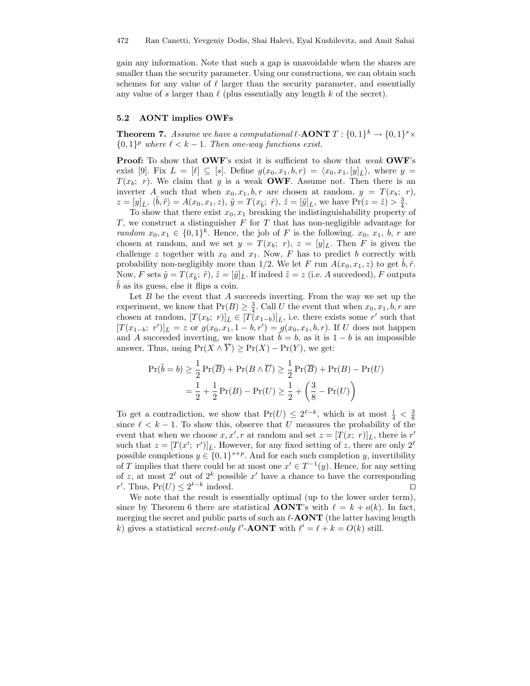gain any information. Note that such a gap is unavoidable when the shares are smaller than the security parameter. Using our constructions, we can obtain such schemes for any value of  $\ell$  larger than the security parameter, and essentially any value of s larger than  $\ell$  (plus essentially any length k of the secret).

#### 5.2 AONT implies OWFs

**Theorem 7.** Assume we have a computational  $\ell$ -**AONT**  $T : \{0,1\}^k \to \{0,1\}^s \times \ell$  $\{0,1\}^p$  where  $\ell < k - 1$ . Then one-way functions exist.

Proof: To show that OWF's exist it is sufficient to show that weak OWF's exist [9]. Fix  $L = [\ell] \subseteq [s]$ . Define  $g(x_0, x_1, b, r) = \langle x_0, x_1, [y]_{\bar{L}} \rangle$ , where  $y =$  $T(x_b; r)$ . We claim that g is a weak OWF. Assume not. Then there is an inverter A such that when  $x_0, x_1, b, r$  are chosen at random,  $y = T(x_b; r)$ ,  $z = [y]_{\bar{L}}, \langle \tilde{b}, \tilde{r} \rangle = A(x_0, x_1, z), \tilde{y} = T(x_{\tilde{b}}; \tilde{r}), \tilde{z} = [\tilde{y}]_{\bar{L}},$  we have  $\Pr(z = \tilde{z}) > \frac{3}{4}$ .

To show that there exist  $x_0, x_1$  breaking the indistinguishability property of  $T$ , we construct a distinguisher  $F$  for  $T$  that has non-negligible advantage for random  $x_0, x_1 \in \{0,1\}^k$ . Hence, the job of F is the following.  $x_0, x_1, b, r$  are chosen at random, and we set  $y = T(x_b; r)$ ,  $z = [y]_{\bar{L}}$ . Then F is given the challenge z together with  $x_0$  and  $x_1$ . Now, F has to predict b correctly with probability non-negligibly more than 1/2. We let F run  $A(x_0, x_1, z)$  to get  $b, \tilde{r}$ . Now, F sets  $\tilde{y} = T(x_{\tilde{b}}; \tilde{r}), \tilde{z} = [\tilde{y}]_{\tilde{L}}$ . If indeed  $\tilde{z} = z$  (i.e. A succedeed), F outputs  $\ddot{b}$  as its guess, else it flips a coin.

Let  $B$  be the event that  $A$  succeeds inverting. From the way we set up the experiment, we know that  $Pr(B) \geq \frac{3}{4}$ . Call U the event that when  $x_0, x_1, b, r$  are chosen at random,  $[T(x_b; r)]_{\bar{L}} \in [T(x_{1-b})]_{\bar{L}}$ , i.e. there exists some r' such that  $[T(x_{1-b}; r')]_{\bar{L}} = z \text{ or } g(x_0, x_1, 1-b, r') = g(x_0, x_1, b, r).$  If U does not happen and A succeeded inverting, we know that  $\tilde{b} = b$ , as it is  $1 - b$  is an impossible answer. Thus, using  $Pr(X \wedge \overline{Y}) \geq Pr(X) - Pr(Y)$ , we get:

$$
\Pr(\tilde{b}=b) \ge \frac{1}{2}\Pr(\overline{B}) + \Pr(B \wedge \overline{U}) \ge \frac{1}{2}\Pr(\overline{B}) + \Pr(B) - \Pr(U)
$$

$$
= \frac{1}{2} + \frac{1}{2}\Pr(B) - \Pr(U) \ge \frac{1}{2} + \left(\frac{3}{8} - \Pr(U)\right)
$$

To get a contradiction, we show that  $Pr(U) \leq 2^{\ell-k}$ , which is at most  $\frac{1}{4} < \frac{3}{8}$ since  $\ell < k - 1$ . To show this, observe that U measures the probability of the event that when we choose  $x, x', r$  at random and set  $z = [T(x; r)]_{\bar{L}}$ , there is  $r'$ such that  $z = [T(x'; r')]_{\bar{L}}$ . However, for any fixed setting of z, there are only  $2^{\ell}$ possible completions  $y \in \{0,1\}^{s+p}$ . And for each such completion y, invertibility of T implies that there could be at most one  $x' \in T^{-1}(y)$ . Hence, for any setting of z, at most  $2^{\ell}$  out of  $2^{k}$  possible x' have a chance to have the corresponding  $r'$ . Thus, Pr(U) ≤ 2<sup> $\ell$ -k</sup> indeed.  $\Box$ 

We note that the result is essentially optimal (up to the lower order term), since by Theorem 6 there are statistical **AONT**'s with  $\ell = k + o(k)$ . In fact, merging the secret and public parts of such an  $\ell$ -**AONT** (the latter having length k) gives a statistical secret-only  $\ell'$ -**AONT** with  $\ell' = \ell + k = O(k)$  still.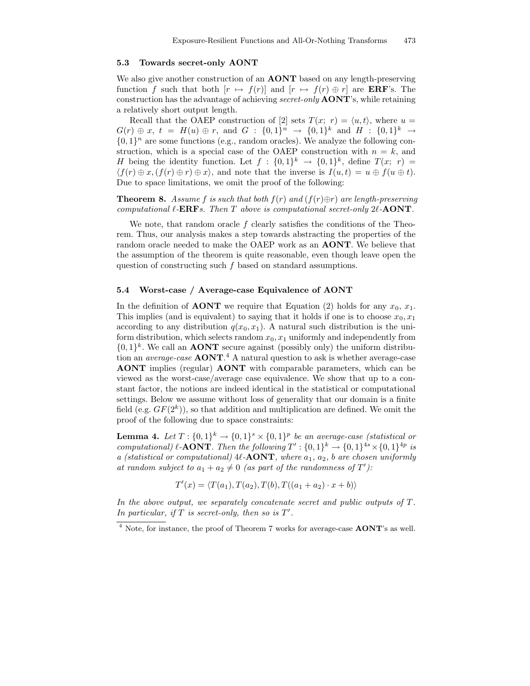#### 5.3 Towards secret-only AONT

We also give another construction of an **AONT** based on any length-preserving function f such that both  $[r \mapsto f(r)]$  and  $[r \mapsto f(r) \oplus r]$  are **ERF**'s. The construction has the advantage of achieving secret-only AONT's, while retaining a relatively short output length.

Recall that the OAEP construction of [2] sets  $T(x; r) = \langle u, t \rangle$ , where  $u =$  $G(r) \oplus x$ ,  $t = H(u) \oplus r$ , and  $G : \{0,1\}^n \rightarrow \{0,1\}^k$  and  $H : \{0,1\}^k \rightarrow$  $\{0,1\}^n$  are some functions (e.g., random oracles). We analyze the following construction, which is a special case of the OAEP construction with  $n = k$ , and H being the identity function. Let  $f: \{0,1\}^k \to \{0,1\}^k$ , define  $T(x; r) =$  $\langle f(r) \oplus x, (f(r) \oplus r) \oplus x \rangle$ , and note that the inverse is  $I(u,t) = u \oplus f(u \oplus t)$ . Due to space limitations, we omit the proof of the following:

**Theorem 8.** Assume f is such that both  $f(r)$  and  $(f(r) \oplus r)$  are length-preserving computational  $\ell$ -**ERF**s. Then T above is computational secret-only 2 $\ell$ -**AONT**.

We note, that random oracle  $f$  clearly satisfies the conditions of the Theorem. Thus, our analysis makes a step towards abstracting the properties of the random oracle needed to make the OAEP work as an AONT. We believe that the assumption of the theorem is quite reasonable, even though leave open the question of constructing such f based on standard assumptions.

## 5.4 Worst-case / Average-case Equivalence of AONT

In the definition of **AONT** we require that Equation (2) holds for any  $x_0$ ,  $x_1$ . This implies (and is equivalent) to saying that it holds if one is to choose  $x_0, x_1$ according to any distribution  $q(x_0, x_1)$ . A natural such distribution is the uniform distribution, which selects random  $x_0, x_1$  uniformly and independently from  $\{0,1\}^k$ . We call an **AONT** secure against (possibly only) the uniform distribution an *average-case*  $\text{AONT.}^4$  A natural question to ask is whether average-case AONT implies (regular) AONT with comparable parameters, which can be viewed as the worst-case/average case equivalence. We show that up to a constant factor, the notions are indeed identical in the statistical or computational settings. Below we assume without loss of generality that our domain is a finite field (e.g.  $GF(2<sup>k</sup>)$ ), so that addition and multiplication are defined. We omit the proof of the following due to space constraints:

**Lemma 4.** Let  $T: \{0,1\}^k \to \{0,1\}^s \times \{0,1\}^p$  be an average-case (statistical or computational)  $\ell$ -**AONT**. Then the following  $T' : \{0,1\}^k \to \{0,1\}^{4s} \times \{0,1\}^{4p}$  is a (statistical or computational)  $4\ell$ -**AONT**, where  $a_1, a_2, b$  are chosen uniformly at random subject to  $a_1 + a_2 \neq 0$  (as part of the randomness of T'):

 $T'(x) = \langle T(a_1), T(a_2), T(b), T((a_1 + a_2) \cdot x + b) \rangle$ 

In the above output, we separately concatenate secret and public outputs of T. In particular, if  $T$  is secret-only, then so is  $T'$ .

<sup>&</sup>lt;sup>4</sup> Note, for instance, the proof of Theorem 7 works for average-case **AONT**'s as well.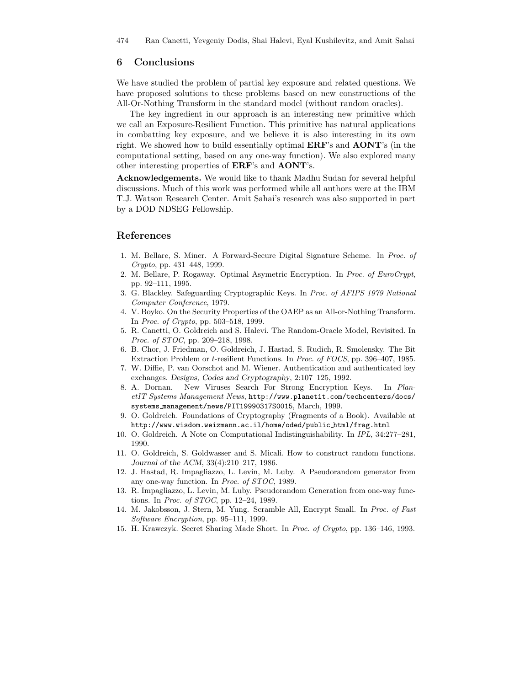## 6 Conclusions

We have studied the problem of partial key exposure and related questions. We have proposed solutions to these problems based on new constructions of the All-Or-Nothing Transform in the standard model (without random oracles).

The key ingredient in our approach is an interesting new primitive which we call an Exposure-Resilient Function. This primitive has natural applications in combatting key exposure, and we believe it is also interesting in its own right. We showed how to build essentially optimal ERF's and AONT's (in the computational setting, based on any one-way function). We also explored many other interesting properties of ERF's and AONT's.

Acknowledgements. We would like to thank Madhu Sudan for several helpful discussions. Much of this work was performed while all authors were at the IBM T.J. Watson Research Center. Amit Sahai's research was also supported in part by a DOD NDSEG Fellowship.

# References

- 1. M. Bellare, S. Miner. A Forward-Secure Digital Signature Scheme. In Proc. of Crypto, pp. 431–448, 1999.
- 2. M. Bellare, P. Rogaway. Optimal Asymetric Encryption. In Proc. of EuroCrypt, pp. 92–111, 1995.
- 3. G. Blackley. Safeguarding Cryptographic Keys. In Proc. of AFIPS 1979 National Computer Conference, 1979.
- 4. V. Boyko. On the Security Properties of the OAEP as an All-or-Nothing Transform. In Proc. of Crypto, pp. 503–518, 1999.
- 5. R. Canetti, O. Goldreich and S. Halevi. The Random-Oracle Model, Revisited. In Proc. of STOC, pp. 209–218, 1998.
- 6. B. Chor, J. Friedman, O. Goldreich, J. Hastad, S. Rudich, R. Smolensky. The Bit Extraction Problem or t-resilient Functions. In Proc. of FOCS, pp. 396–407, 1985.
- 7. W. Diffie, P. van Oorschot and M. Wiener. Authentication and authenticated key exchanges. Designs, Codes and Cryptography, 2:107–125, 1992.
- 8. A. Dornan. New Viruses Search For Strong Encryption Keys. In PlanetIT Systems Management News, http://www.planetit.com/techcenters/docs/ systems management/news/PIT19990317S0015, March, 1999.
- 9. O. Goldreich. Foundations of Cryptography (Fragments of a Book). Available at http://www.wisdom.weizmann.ac.il/home/oded/public html/frag.html
- 10. O. Goldreich. A Note on Computational Indistinguishability. In IPL, 34:277–281, 1990.
- 11. O. Goldreich, S. Goldwasser and S. Micali. How to construct random functions. Journal of the ACM, 33(4):210–217, 1986.
- 12. J. Hastad, R. Impagliazzo, L. Levin, M. Luby. A Pseudorandom generator from any one-way function. In Proc. of STOC, 1989.
- 13. R. Impagliazzo, L. Levin, M. Luby. Pseudorandom Generation from one-way functions. In Proc. of STOC, pp. 12–24, 1989.
- 14. M. Jakobsson, J. Stern, M. Yung. Scramble All, Encrypt Small. In Proc. of Fast Software Encryption, pp. 95–111, 1999.
- 15. H. Krawczyk. Secret Sharing Made Short. In Proc. of Crypto, pp. 136–146, 1993.